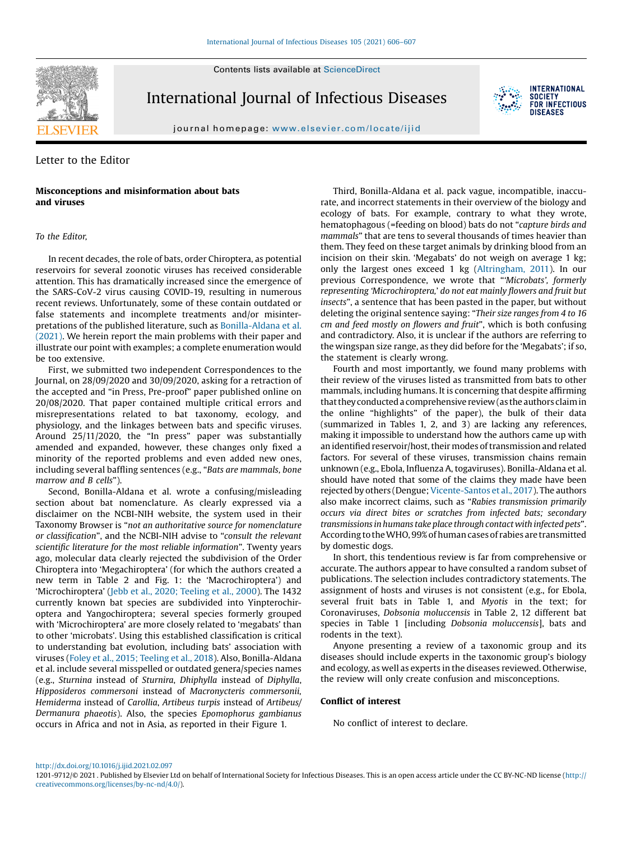Contents lists available at [ScienceDirect](http://www.sciencedirect.com/science/journal/12019712)



International Journal of Infectious Diseases



journal homepage: <www.elsevier.com/locate/ijid>

# Letter to the Editor

## Misconceptions and misinformation about bats and viruses

### To the Editor,

In recent decades, the role of bats, order Chiroptera, as potential reservoirs for several zoonotic viruses has received considerable attention. This has dramatically increased since the emergence of the SARS-CoV-2 virus causing COVID-19, resulting in numerous recent reviews. Unfortunately, some of these contain outdated or false statements and incomplete treatments and/or misinterpretations of the published literature, such as [Bonilla-Aldana](#page-1-0) et al. [\(2021\).](#page-1-0) We herein report the main problems with their paper and illustrate our point with examples; a complete enumeration would be too extensive.

First, we submitted two independent Correspondences to the Journal, on 28/09/2020 and 30/09/2020, asking for a retraction of the accepted and "in Press, Pre-proof" paper published online on 20/08/2020. That paper contained multiple critical errors and misrepresentations related to bat taxonomy, ecology, and physiology, and the linkages between bats and specific viruses. Around 25/11/2020, the "In press" paper was substantially amended and expanded, however, these changes only fixed a minority of the reported problems and even added new ones, including several baffling sentences (e.g., "Bats are mammals, bone marrow and B cells").

Second, Bonilla-Aldana et al. wrote a confusing/misleading section about bat nomenclature. As clearly expressed via a disclaimer on the NCBI-NIH website, the system used in their Taxonomy Browser is "not an authoritative source for nomenclature or classification", and the NCBI-NIH advise to "consult the relevant scientific literature for the most reliable information". Twenty years ago, molecular data clearly rejected the subdivision of the Order Chiroptera into 'Megachiroptera' (for which the authors created a new term in Table 2 and Fig. 1: the 'Macrochiroptera') and 'Microchiroptera' (Jebb et al., 2020; [Teeling](#page-1-0) et al., 2000). The 1432 currently known bat species are subdivided into Yinpterochiroptera and Yangochiroptera; several species formerly grouped with 'Microchiroptera' are more closely related to 'megabats' than to other 'microbats'. Using this established classification is critical to understanding bat evolution, including bats' association with viruses (Foley et al., 2015; [Teeling](#page-1-0) et al., 2018). Also, Bonilla-Aldana et al. include several misspelled or outdated genera/species names (e.g., Sturnina instead of Sturnira, Dhiphylla instead of Diphylla, Hipposideros commersoni instead of Macronycteris commersonii, Hemiderma instead of Carollia, Artibeus turpis instead of Artibeus/ Dermanura phaeotis). Also, the species Epomophorus gambianus occurs in Africa and not in Asia, as reported in their Figure 1.

Third, Bonilla-Aldana et al. pack vague, incompatible, inaccurate, and incorrect statements in their overview of the biology and ecology of bats. For example, contrary to what they wrote, hematophagous (=feeding on blood) bats do not "capture birds and mammals" that are tens to several thousands of times heavier than them. They feed on these target animals by drinking blood from an incision on their skin. 'Megabats' do not weigh on average 1 kg; only the largest ones exceed 1 kg ([Altringham,](#page-1-0) 2011). In our previous Correspondence, we wrote that "'Microbats', formerly representing 'Microchiroptera,' do not eat mainly flowers and fruit but insects", a sentence that has been pasted in the paper, but without deleting the original sentence saying: "Their size ranges from 4 to 16 cm and feed mostly on flowers and fruit", which is both confusing and contradictory. Also, it is unclear if the authors are referring to the wingspan size range, as they did before for the 'Megabats'; if so, the statement is clearly wrong.

Fourth and most importantly, we found many problems with their review of the viruses listed as transmitted from bats to other mammals, including humans. It is concerning that despite affirming that they conducted a comprehensive review (as the authors claim in the online "highlights" of the paper), the bulk of their data (summarized in Tables 1, 2, and 3) are lacking any references, making it impossible to understand how the authors came up with an identified reservoir/host, their modes of transmission and related factors. For several of these viruses, transmission chains remain unknown (e.g., Ebola, Influenza A, togaviruses). Bonilla-Aldana et al. should have noted that some of the claims they made have been rejected by others (Dengue; [Vicente-Santos](#page-1-0) et al., 2017). The authors also make incorrect claims, such as "Rabies transmission primarily occurs via direct bites or scratches from infected bats; secondary transmissions in humans take place through contact with infected pets". According totheWHO, 99%ofhumancases of rabies are transmitted by domestic dogs.

In short, this tendentious review is far from comprehensive or accurate. The authors appear to have consulted a random subset of publications. The selection includes contradictory statements. The assignment of hosts and viruses is not consistent (e.g., for Ebola, several fruit bats in Table 1, and Myotis in the text; for Coronaviruses, Dobsonia moluccensis in Table 2, 12 different bat species in Table 1 [including Dobsonia moluccensis], bats and rodents in the text).

Anyone presenting a review of a taxonomic group and its diseases should include experts in the taxonomic group's biology and ecology, as well as experts in the diseases reviewed. Otherwise, the review will only create confusion and misconceptions.

### Conflict of interest

No conflict of interest to declare.

<http://dx.doi.org/10.1016/j.ijid.2021.02.097>

<sup>1201-9712/© 2021 .</sup> Published by Elsevier Ltd on behalf of International Society for Infectious Diseases. This is an open access article under the CC BY-NC-ND license ([http://](http://creativecommons.org/licenses/by-nc-nd/4.0/) [creativecommons.org/licenses/by-nc-nd/4.0/](http://creativecommons.org/licenses/by-nc-nd/4.0/)).